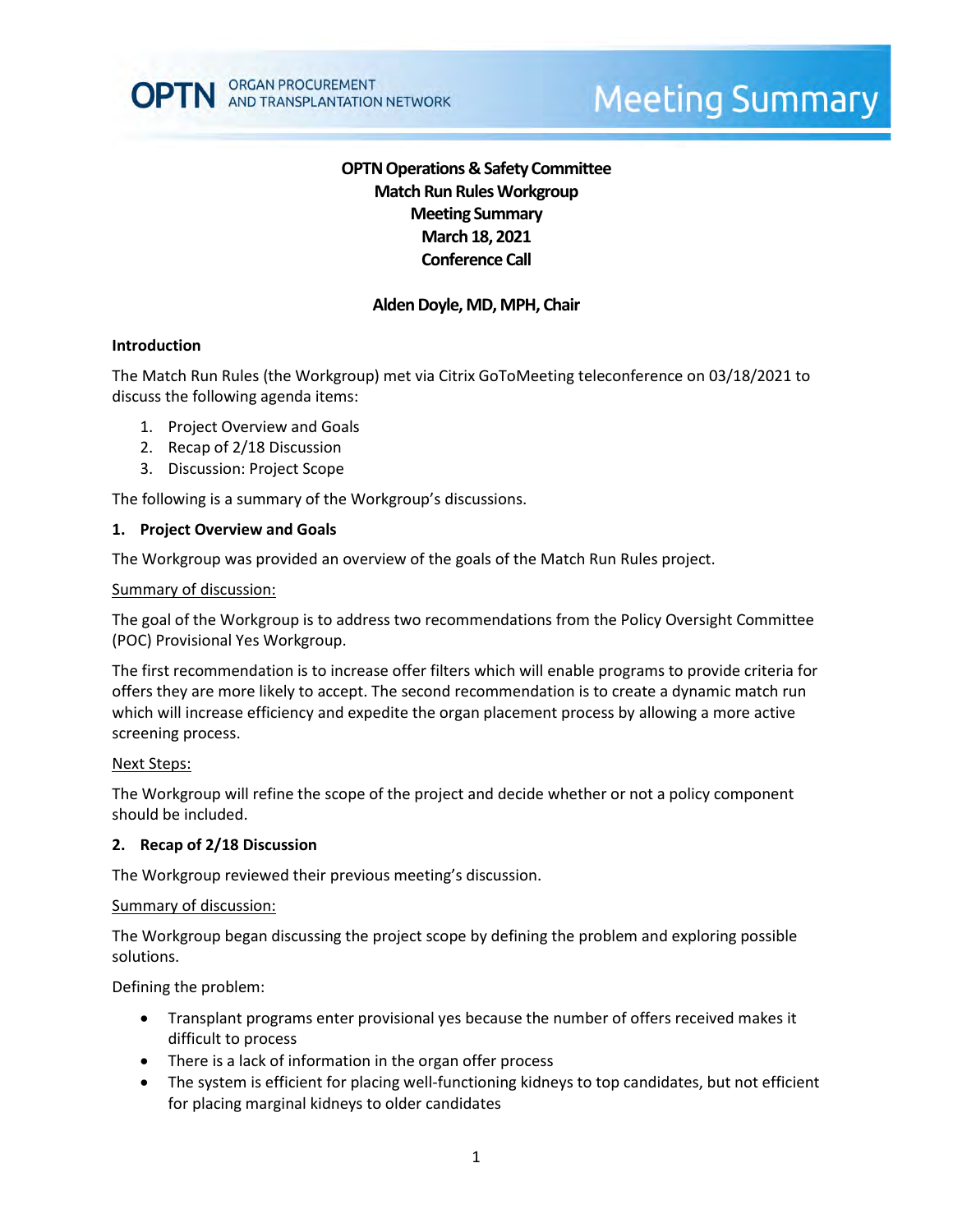# **OPTN Operations & Safety Committee Match Run RulesWorkgroup Meeting Summary March 18, 2021 Conference Call**

# **Alden Doyle, MD, MPH, Chair**

#### **Introduction**

The Match Run Rules (the Workgroup) met via Citrix GoToMeeting teleconference on 03/18/2021 to discuss the following agenda items:

- 1. Project Overview and Goals
- 2. Recap of 2/18 Discussion
- 3. Discussion: Project Scope

The following is a summary of the Workgroup's discussions.

#### **1. Project Overview and Goals**

The Workgroup was provided an overview of the goals of the Match Run Rules project.

#### Summary of discussion:

The goal of the Workgroup is to address two recommendations from the Policy Oversight Committee (POC) Provisional Yes Workgroup.

The first recommendation is to increase offer filters which will enable programs to provide criteria for offers they are more likely to accept. The second recommendation is to create a dynamic match run which will increase efficiency and expedite the organ placement process by allowing a more active screening process.

#### Next Steps:

The Workgroup will refine the scope of the project and decide whether or not a policy component should be included.

#### **2. Recap of 2/18 Discussion**

The Workgroup reviewed their previous meeting's discussion.

#### Summary of discussion:

The Workgroup began discussing the project scope by defining the problem and exploring possible solutions.

Defining the problem:

- Transplant programs enter provisional yes because the number of offers received makes it difficult to process
- There is a lack of information in the organ offer process
- The system is efficient for placing well-functioning kidneys to top candidates, but not efficient for placing marginal kidneys to older candidates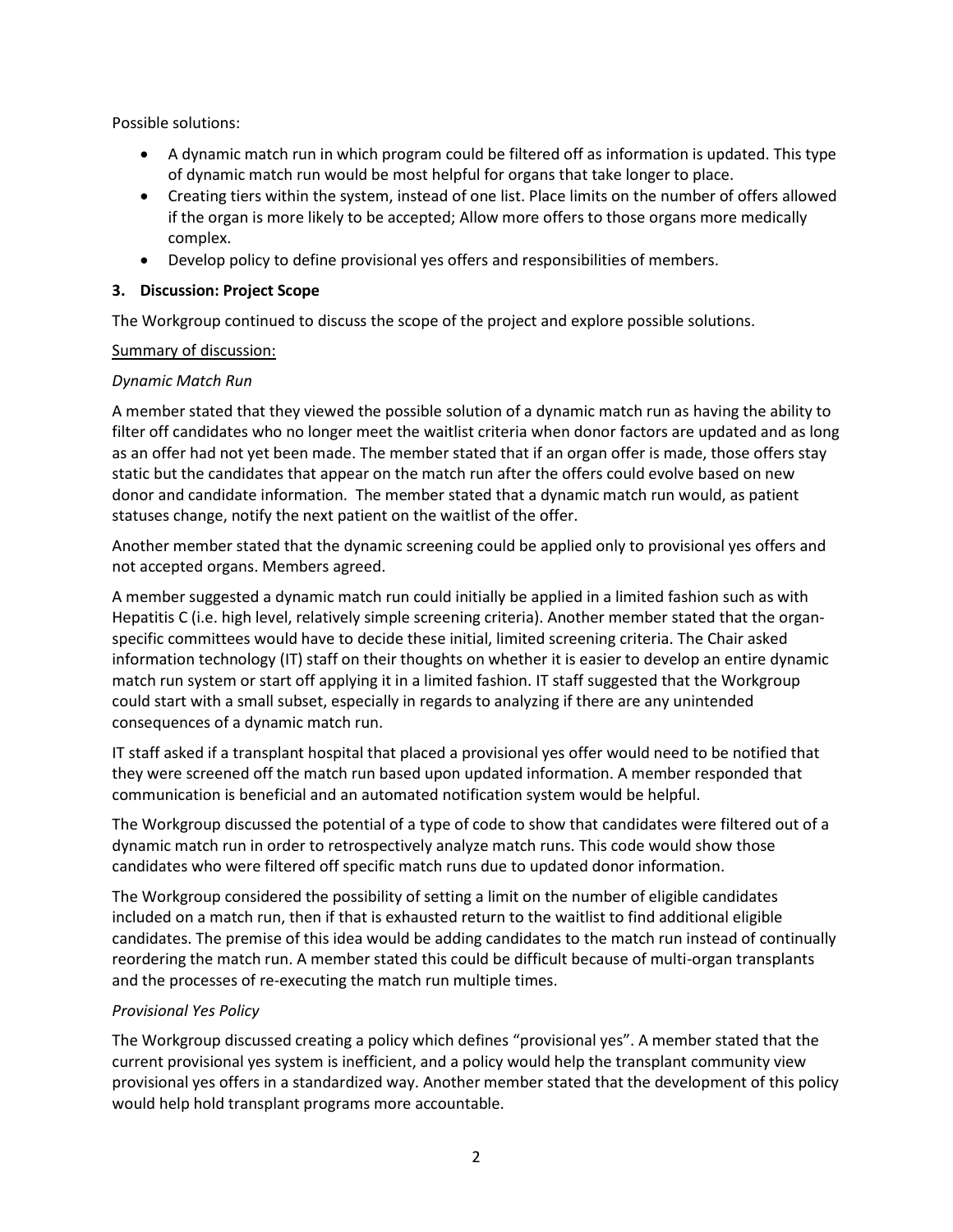Possible solutions:

- A dynamic match run in which program could be filtered off as information is updated. This type of dynamic match run would be most helpful for organs that take longer to place.
- Creating tiers within the system, instead of one list. Place limits on the number of offers allowed if the organ is more likely to be accepted; Allow more offers to those organs more medically complex.
- Develop policy to define provisional yes offers and responsibilities of members.

### **3. Discussion: Project Scope**

The Workgroup continued to discuss the scope of the project and explore possible solutions.

### Summary of discussion:

### *Dynamic Match Run*

A member stated that they viewed the possible solution of a dynamic match run as having the ability to filter off candidates who no longer meet the waitlist criteria when donor factors are updated and as long as an offer had not yet been made. The member stated that if an organ offer is made, those offers stay static but the candidates that appear on the match run after the offers could evolve based on new donor and candidate information. The member stated that a dynamic match run would, as patient statuses change, notify the next patient on the waitlist of the offer.

Another member stated that the dynamic screening could be applied only to provisional yes offers and not accepted organs. Members agreed.

A member suggested a dynamic match run could initially be applied in a limited fashion such as with Hepatitis C (i.e. high level, relatively simple screening criteria). Another member stated that the organspecific committees would have to decide these initial, limited screening criteria. The Chair asked information technology (IT) staff on their thoughts on whether it is easier to develop an entire dynamic match run system or start off applying it in a limited fashion. IT staff suggested that the Workgroup could start with a small subset, especially in regards to analyzing if there are any unintended consequences of a dynamic match run.

IT staff asked if a transplant hospital that placed a provisional yes offer would need to be notified that they were screened off the match run based upon updated information. A member responded that communication is beneficial and an automated notification system would be helpful.

The Workgroup discussed the potential of a type of code to show that candidates were filtered out of a dynamic match run in order to retrospectively analyze match runs. This code would show those candidates who were filtered off specific match runs due to updated donor information.

The Workgroup considered the possibility of setting a limit on the number of eligible candidates included on a match run, then if that is exhausted return to the waitlist to find additional eligible candidates. The premise of this idea would be adding candidates to the match run instead of continually reordering the match run. A member stated this could be difficult because of multi-organ transplants and the processes of re-executing the match run multiple times.

# *Provisional Yes Policy*

The Workgroup discussed creating a policy which defines "provisional yes". A member stated that the current provisional yes system is inefficient, and a policy would help the transplant community view provisional yes offers in a standardized way. Another member stated that the development of this policy would help hold transplant programs more accountable.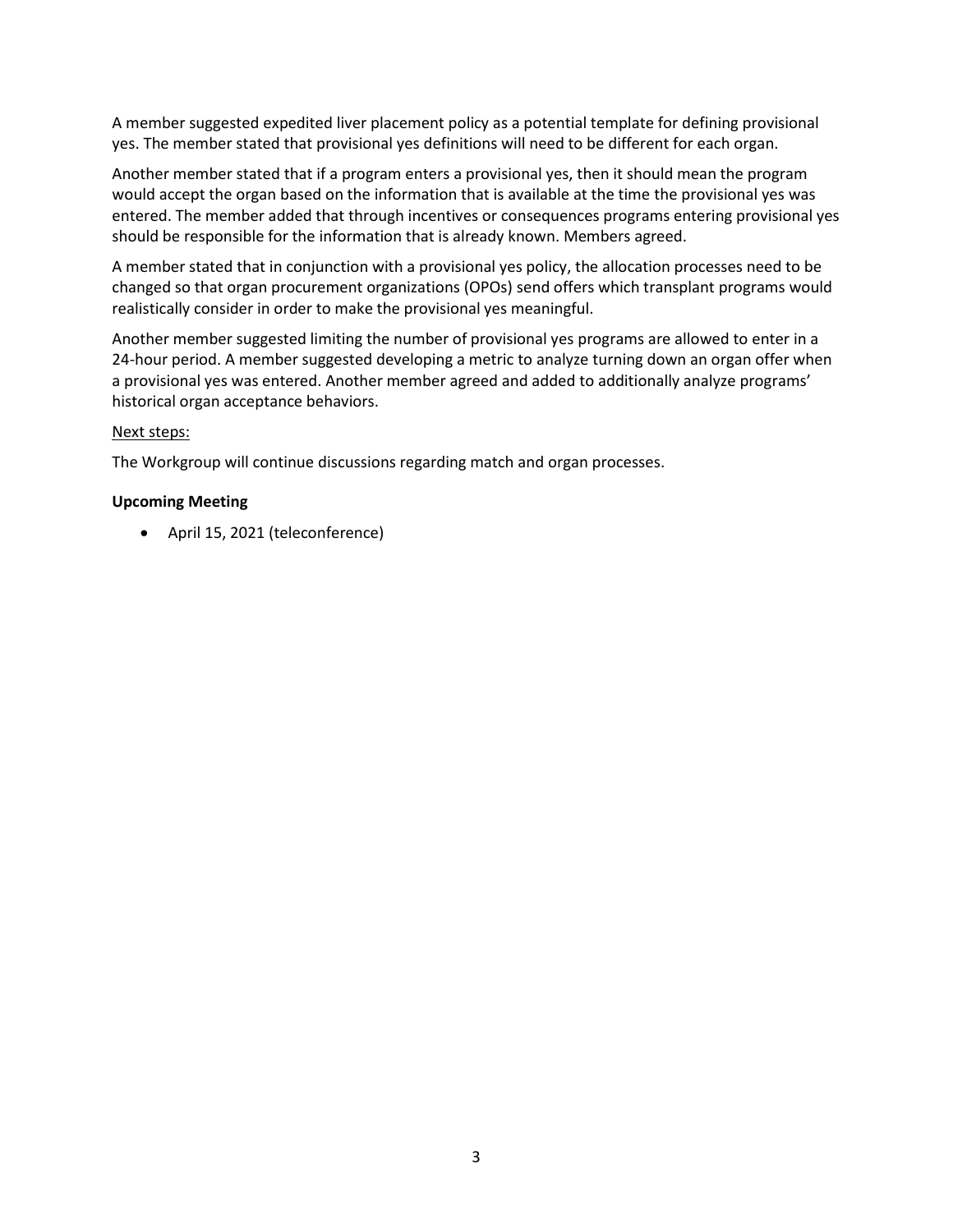A member suggested expedited liver placement policy as a potential template for defining provisional yes. The member stated that provisional yes definitions will need to be different for each organ.

Another member stated that if a program enters a provisional yes, then it should mean the program would accept the organ based on the information that is available at the time the provisional yes was entered. The member added that through incentives or consequences programs entering provisional yes should be responsible for the information that is already known. Members agreed.

A member stated that in conjunction with a provisional yes policy, the allocation processes need to be changed so that organ procurement organizations (OPOs) send offers which transplant programs would realistically consider in order to make the provisional yes meaningful.

Another member suggested limiting the number of provisional yes programs are allowed to enter in a 24-hour period. A member suggested developing a metric to analyze turning down an organ offer when a provisional yes was entered. Another member agreed and added to additionally analyze programs' historical organ acceptance behaviors.

### Next steps:

The Workgroup will continue discussions regarding match and organ processes.

#### **Upcoming Meeting**

April 15, 2021 (teleconference)